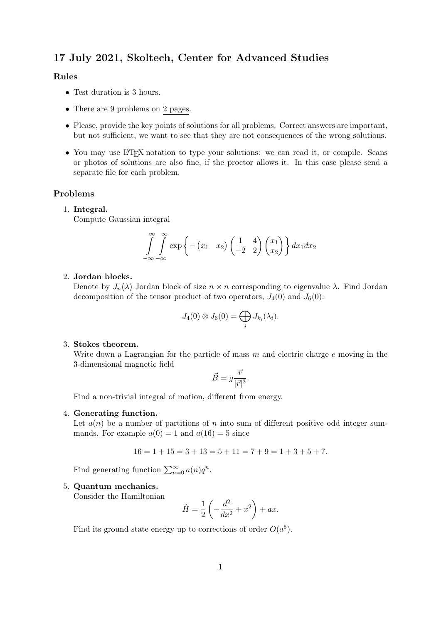# 17 July 2021, Skoltech, Center for Advanced Studies

## Rules

- Test duration is 3 hours.
- There are 9 problems on 2 pages.
- Please, provide the key points of solutions for all problems. Correct answers are important, but not sufficient, we want to see that they are not consequences of the wrong solutions.
- You may use LATEX notation to type your solutions: we can read it, or compile. Scans or photos of solutions are also fine, if the proctor allows it. In this case please send a separate file for each problem.

## Problems

#### 1. Integral.

Compute Gaussian integral

$$
\int_{-\infty}^{\infty} \int_{-\infty}^{\infty} \exp \left\{-\left(x_1 \quad x_2\right) \begin{pmatrix} 1 & 4 \\ -2 & 2 \end{pmatrix} \begin{pmatrix} x_1 \\ x_2 \end{pmatrix}\right\} dx_1 dx_2
$$

## 2. Jordan blocks.

Denote by  $J_n(\lambda)$  Jordan block of size  $n \times n$  corresponding to eigenvalue  $\lambda$ . Find Jordan decomposition of the tensor product of two operators,  $J_4(0)$  and  $J_6(0)$ :

$$
J_4(0)\otimes J_6(0)=\bigoplus_i J_{k_i}(\lambda_i).
$$

#### 3. Stokes theorem.

Write down a Lagrangian for the particle of mass  $m$  and electric charge  $e$  moving in the 3-dimensional magnetic field

$$
\vec{B} = g \frac{\vec{r}}{|\vec{r}|^3}.
$$

Find a non-trivial integral of motion, different from energy.

#### 4. Generating function.

Let  $a(n)$  be a number of partitions of n into sum of different positive odd integer summands. For example  $a(0) = 1$  and  $a(16) = 5$  since

$$
16 = 1 + 15 = 3 + 13 = 5 + 11 = 7 + 9 = 1 + 3 + 5 + 7.
$$

Find generating function  $\sum_{n=0}^{\infty} a(n)q^n$ .

### 5. Quantum mechanics.

Consider the Hamiltonian

$$
\hat{H} = \frac{1}{2} \left( -\frac{d^2}{dx^2} + x^2 \right) + ax.
$$

Find its ground state energy up to corrections of order  $O(a^5)$ .